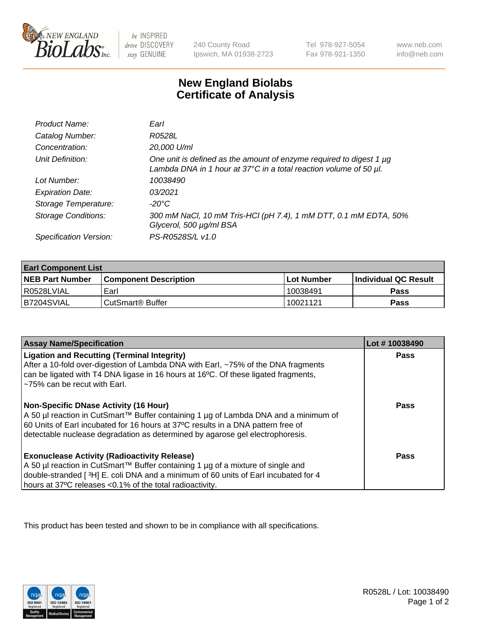

 $be$  INSPIRED drive DISCOVERY stay GENUINE

240 County Road Ipswich, MA 01938-2723 Tel 978-927-5054 Fax 978-921-1350 www.neb.com info@neb.com

## **New England Biolabs Certificate of Analysis**

| Product Name:              | Earl                                                                                                                                                         |
|----------------------------|--------------------------------------------------------------------------------------------------------------------------------------------------------------|
| Catalog Number:            | R0528L                                                                                                                                                       |
| Concentration:             | 20,000 U/ml                                                                                                                                                  |
| Unit Definition:           | One unit is defined as the amount of enzyme required to digest 1 $\mu$ g<br>Lambda DNA in 1 hour at $37^{\circ}$ C in a total reaction volume of 50 $\mu$ l. |
| Lot Number:                | 10038490                                                                                                                                                     |
| <b>Expiration Date:</b>    | 0.3/2021                                                                                                                                                     |
| Storage Temperature:       | -20°C                                                                                                                                                        |
| <b>Storage Conditions:</b> | 300 mM NaCl, 10 mM Tris-HCl (pH 7.4), 1 mM DTT, 0.1 mM EDTA, 50%<br>Glycerol, 500 µg/ml BSA                                                                  |
| Specification Version:     | PS-R0528S/L v1.0                                                                                                                                             |

| <b>Earl Component List</b> |                              |            |                             |  |
|----------------------------|------------------------------|------------|-----------------------------|--|
| <b>NEB Part Number</b>     | <b>Component Description</b> | Lot Number | <b>Individual QC Result</b> |  |
| I R0528LVIAL               | Earl                         | 10038491   | Pass                        |  |
| B7204SVIAL                 | ⊧CutSmart® Buffer            | 10021121   | Pass                        |  |

| <b>Assay Name/Specification</b>                                                                                                                                                                                                                                                                     | Lot #10038490 |
|-----------------------------------------------------------------------------------------------------------------------------------------------------------------------------------------------------------------------------------------------------------------------------------------------------|---------------|
| <b>Ligation and Recutting (Terminal Integrity)</b><br>After a 10-fold over-digestion of Lambda DNA with Earl, ~75% of the DNA fragments<br>can be ligated with T4 DNA ligase in 16 hours at 16 <sup>o</sup> C. Of these ligated fragments,<br>~75% can be recut with Earl.                          | Pass          |
| Non-Specific DNase Activity (16 Hour)<br>  A 50 µl reaction in CutSmart™ Buffer containing 1 µg of Lambda DNA and a minimum of<br>60 Units of Earl incubated for 16 hours at 37°C results in a DNA pattern free of<br>detectable nuclease degradation as determined by agarose gel electrophoresis. | Pass          |
| <b>Exonuclease Activity (Radioactivity Release)</b><br>A 50 µl reaction in CutSmart™ Buffer containing 1 µg of a mixture of single and<br>double-stranded [3H] E. coli DNA and a minimum of 60 units of Earl incubated for 4<br>hours at 37°C releases <0.1% of the total radioactivity.            | Pass          |

This product has been tested and shown to be in compliance with all specifications.